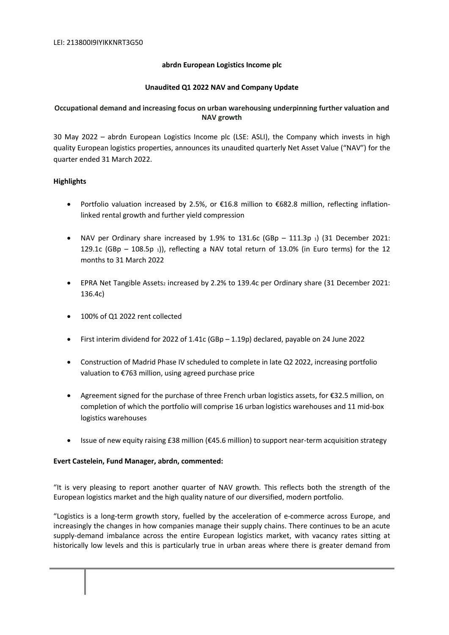### **abrdn European Logistics Income plc**

### **Unaudited Q1 2022 NAV and Company Update**

# **Occupational demand and increasing focus on urban warehousing underpinning further valuation and NAV growth**

30 May 2022 – abrdn European Logistics Income plc (LSE: ASLI), the Company which invests in high quality European logistics properties, announces its unaudited quarterly Net Asset Value ("NAV") for the quarter ended 31 March 2022.

### **Highlights**

- Portfolio valuation increased by 2.5%, or €16.8 million to €682.8 million, reflecting inflationlinked rental growth and further yield compression
- NAV per Ordinary share increased by  $1.9%$  to  $131.6c$  (GBp  $111.3p_1$ ) (31 December 2021: 129.1c (GBp - 108.5p 1)), reflecting a NAV total return of 13.0% (in Euro terms) for the 12 months to 31 March 2022
- **•** EPRA Net Tangible Assets<sub>2</sub> increased by 2.2% to 139.4c per Ordinary share (31 December 2021: 136.4c)
- $\bullet$  100% of Q1 2022 rent collected
- First interim dividend for 2022 of 1.41c (GBp 1.19p) declared, payable on 24 June 2022
- Construction of Madrid Phase IV scheduled to complete in late Q2 2022, increasing portfolio valuation to €763 million, using agreed purchase price
- Agreement signed for the purchase of three French urban logistics assets, for €32.5 million, on completion of which the portfolio will comprise 16 urban logistics warehouses and 11 mid-box logistics warehouses
- Issue of new equity raising £38 million (€45.6 million) to support near-term acquisition strategy

#### **Evert Castelein, Fund Manager, abrdn, commented:**

"It is very pleasing to report another quarter of NAV growth. This reflects both the strength of the European logistics market and the high quality nature of our diversified, modern portfolio.

"Logistics is a long-term growth story, fuelled by the acceleration of e-commerce across Europe, and increasingly the changes in how companies manage their supply chains. There continues to be an acute supply-demand imbalance across the entire European logistics market, with vacancy rates sitting at historically low levels and this is particularly true in urban areas where there is greater demand from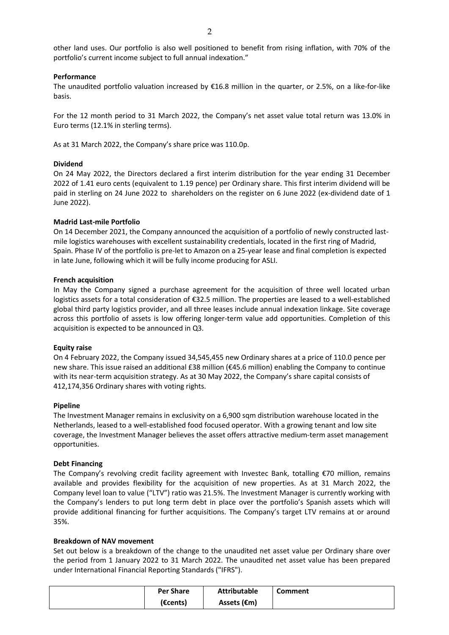other land uses. Our portfolio is also well positioned to benefit from rising inflation, with 70% of the portfolio's current income subject to full annual indexation."

## **Performance**

The unaudited portfolio valuation increased by €16.8 million in the quarter, or 2.5%, on a like-for-like basis.

For the 12 month period to 31 March 2022, the Company's net asset value total return was 13.0% in Euro terms (12.1% in sterling terms).

As at 31 March 2022, the Company's share price was 110.0p.

### **Dividend**

On 24 May 2022, the Directors declared a first interim distribution for the year ending 31 December 2022 of 1.41 euro cents (equivalent to 1.19 pence) per Ordinary share. This first interim dividend will be paid in sterling on 24 June 2022 to shareholders on the register on 6 June 2022 (ex-dividend date of 1 June 2022).

### **Madrid Last-mile Portfolio**

On 14 December 2021, the Company announced the acquisition of a portfolio of newly constructed lastmile logistics warehouses with excellent sustainability credentials, located in the first ring of Madrid, Spain. Phase IV of the portfolio is pre-let to Amazon on a 25-year lease and final completion is expected in late June, following which it will be fully income producing for ASLI.

#### **French acquisition**

In May the Company signed a purchase agreement for the acquisition of three well located urban logistics assets for a total consideration of €32.5 million. The properties are leased to a well-established global third party logistics provider, and all three leases include annual indexation linkage. Site coverage across this portfolio of assets is low offering longer-term value add opportunities. Completion of this acquisition is expected to be announced in Q3.

#### **Equity raise**

On 4 February 2022, the Company issued 34,545,455 new Ordinary shares at a price of 110.0 pence per new share. This issue raised an additional £38 million (€45.6 million) enabling the Company to continue with its near-term acquisition strategy. As at 30 May 2022, the Company's share capital consists of 412,174,356 Ordinary shares with voting rights.

#### **Pipeline**

The Investment Manager remains in exclusivity on a 6,900 sqm distribution warehouse located in the Netherlands, leased to a well-established food focused operator. With a growing tenant and low site coverage, the Investment Manager believes the asset offers attractive medium-term asset management opportunities.

#### **Debt Financing**

The Company's revolving credit facility agreement with Investec Bank, totalling €70 million, remains available and provides flexibility for the acquisition of new properties. As at 31 March 2022, the Company level loan to value ("LTV") ratio was 21.5%. The Investment Manager is currently working with the Company's lenders to put long term debt in place over the portfolio's Spanish assets which will provide additional financing for further acquisitions. The Company's target LTV remains at or around 35%.

#### **Breakdown of NAV movement**

Set out below is a breakdown of the change to the unaudited net asset value per Ordinary share over the period from 1 January 2022 to 31 March 2022. The unaudited net asset value has been prepared under International Financial Reporting Standards ("IFRS").

| <b>Per Share</b>   | <b>Attributable</b> | Comment |
|--------------------|---------------------|---------|
| $(\epsilon$ cents) | Assets (€m)         |         |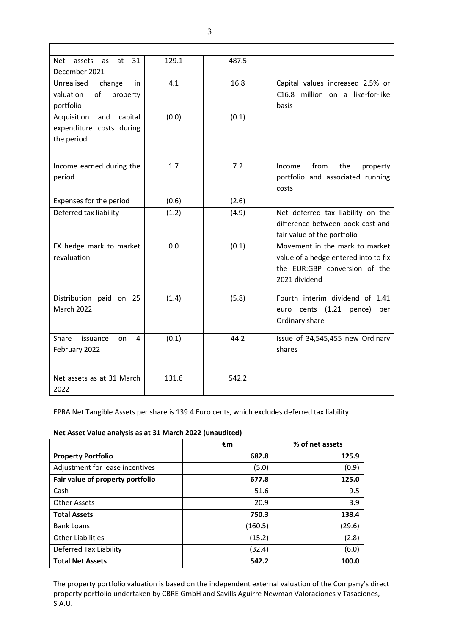| 31<br><b>Net</b><br>assets<br>at<br>as | 129.1 | 487.5 |                                      |
|----------------------------------------|-------|-------|--------------------------------------|
| December 2021                          |       |       |                                      |
| Unrealised<br>change<br>in             | 4.1   | 16.8  | Capital values increased 2.5% or     |
| of<br>valuation<br>property            |       |       | €16.8 million on a like-for-like     |
| portfolio                              |       |       | basis                                |
| capital<br>Acquisition<br>and          | (0.0) | (0.1) |                                      |
| expenditure costs during               |       |       |                                      |
| the period                             |       |       |                                      |
|                                        |       |       |                                      |
| Income earned during the               | 1.7   | 7.2   | from<br>Income<br>the<br>property    |
| period                                 |       |       | portfolio and associated running     |
|                                        |       |       | costs                                |
|                                        |       |       |                                      |
| Expenses for the period                | (0.6) | (2.6) |                                      |
| Deferred tax liability                 | (1.2) | (4.9) | Net deferred tax liability on the    |
|                                        |       |       | difference between book cost and     |
|                                        |       |       | fair value of the portfolio          |
| FX hedge mark to market                | 0.0   | (0.1) | Movement in the mark to market       |
| revaluation                            |       |       | value of a hedge entered into to fix |
|                                        |       |       | the EUR:GBP conversion of the        |
|                                        |       |       | 2021 dividend                        |
| Distribution paid<br>on 25             |       | (5.8) | Fourth interim dividend of 1.41      |
| <b>March 2022</b>                      | (1.4) |       |                                      |
|                                        |       |       | euro cents (1.21<br>pence)<br>per    |
|                                        |       |       | Ordinary share                       |
| Share<br>issuance<br>4<br>on           | (0.1) | 44.2  | Issue of 34,545,455 new Ordinary     |
| February 2022                          |       |       | shares                               |
|                                        |       |       |                                      |
|                                        |       |       |                                      |
| Net assets as at 31 March              | 131.6 | 542.2 |                                      |
| 2022                                   |       |       |                                      |

EPRA Net Tangible Assets per share is 139.4 Euro cents, which excludes deferred tax liability.

## **Net Asset Value analysis as at 31 March 2022 (unaudited)**

|                                  | €m      | % of net assets |
|----------------------------------|---------|-----------------|
| <b>Property Portfolio</b>        | 682.8   | 125.9           |
| Adjustment for lease incentives  | (5.0)   | (0.9)           |
| Fair value of property portfolio | 677.8   | 125.0           |
| Cash                             | 51.6    | 9.5             |
| <b>Other Assets</b>              | 20.9    | 3.9             |
| <b>Total Assets</b>              | 750.3   | 138.4           |
| <b>Bank Loans</b>                | (160.5) | (29.6)          |
| <b>Other Liabilities</b>         | (15.2)  | (2.8)           |
| Deferred Tax Liability           | (32.4)  | (6.0)           |
| <b>Total Net Assets</b>          | 542.2   | 100.0           |

The property portfolio valuation is based on the independent external valuation of the Company's direct property portfolio undertaken by CBRE GmbH and Savills Aguirre Newman Valoraciones y Tasaciones, S.A.U.

٦

 $\overline{1}$